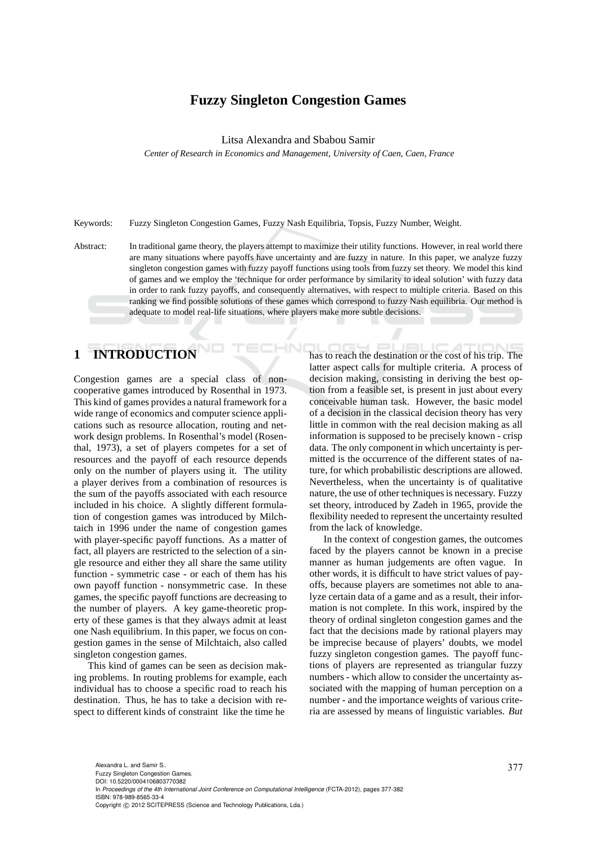### **Fuzzy Singleton Congestion Games**

Litsa Alexandra and Sbabou Samir

*Center of Research in Economics and Management, University of Caen, Caen, France*

Keywords: Fuzzy Singleton Congestion Games, Fuzzy Nash Equilibria, Topsis, Fuzzy Number, Weight.

Abstract: In traditional game theory, the players attempt to maximize their utility functions. However, in real world there are many situations where payoffs have uncertainty and are fuzzy in nature. In this paper, we analyze fuzzy singleton congestion games with fuzzy payoff functions using tools from fuzzy set theory. We model this kind of games and we employ the 'technique for order performance by similarity to ideal solution' with fuzzy data in order to rank fuzzy payoffs, and consequently alternatives, with respect to multiple criteria. Based on this ranking we find possible solutions of these games which correspond to fuzzy Nash equilibria. Our method is adequate to model real-life situations, where players make more subtle decisions.

# **1 INTRODUCTION**

Congestion games are a special class of noncooperative games introduced by Rosenthal in 1973. This kind of games provides a natural framework for a wide range of economics and computer science applications such as resource allocation, routing and network design problems. In Rosenthal's model (Rosenthal, 1973), a set of players competes for a set of resources and the payoff of each resource depends only on the number of players using it. The utility a player derives from a combination of resources is the sum of the payoffs associated with each resource included in his choice. A slightly different formulation of congestion games was introduced by Milchtaich in 1996 under the name of congestion games with player-specific payoff functions. As a matter of fact, all players are restricted to the selection of a single resource and either they all share the same utility function - symmetric case - or each of them has his own payoff function - nonsymmetric case. In these games, the specific payoff functions are decreasing to the number of players. A key game-theoretic property of these games is that they always admit at least one Nash equilibrium. In this paper, we focus on congestion games in the sense of Milchtaich, also called singleton congestion games.

This kind of games can be seen as decision making problems. In routing problems for example, each individual has to choose a specific road to reach his destination. Thus, he has to take a decision with respect to different kinds of constraint like the time he

has to reach the destination or the cost of his trip. The latter aspect calls for multiple criteria. A process of decision making, consisting in deriving the best option from a feasible set, is present in just about every conceivable human task. However, the basic model of a decision in the classical decision theory has very little in common with the real decision making as all information is supposed to be precisely known - crisp data. The only component in which uncertainty is permitted is the occurrence of the different states of nature, for which probabilistic descriptions are allowed. Nevertheless, when the uncertainty is of qualitative nature, the use of other techniques is necessary. Fuzzy set theory, introduced by Zadeh in 1965, provide the flexibility needed to represent the uncertainty resulted from the lack of knowledge.

In the context of congestion games, the outcomes faced by the players cannot be known in a precise manner as human judgements are often vague. In other words, it is difficult to have strict values of payoffs, because players are sometimes not able to analyze certain data of a game and as a result, their information is not complete. In this work, inspired by the theory of ordinal singleton congestion games and the fact that the decisions made by rational players may be imprecise because of players' doubts, we model fuzzy singleton congestion games. The payoff functions of players are represented as triangular fuzzy numbers - which allow to consider the uncertainty associated with the mapping of human perception on a number - and the importance weights of various criteria are assessed by means of linguistic variables. *But*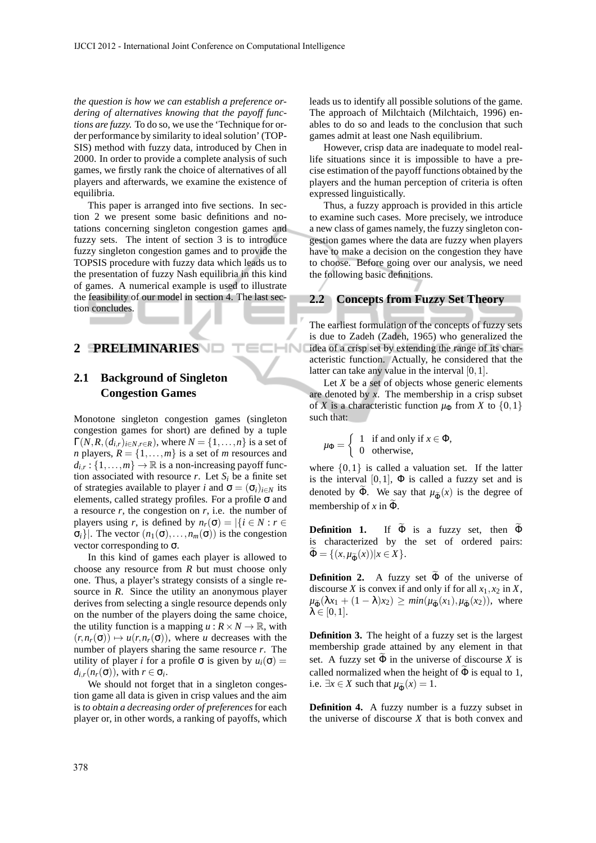*the question is how we can establish a preference ordering of alternatives knowing that the payoff functions are fuzzy.* To do so, we use the 'Technique for order performance by similarity to ideal solution' (TOP-SIS) method with fuzzy data, introduced by Chen in 2000. In order to provide a complete analysis of such games, we firstly rank the choice of alternatives of all players and afterwards, we examine the existence of equilibria.

This paper is arranged into five sections. In section 2 we present some basic definitions and notations concerning singleton congestion games and fuzzy sets. The intent of section 3 is to introduce fuzzy singleton congestion games and to provide the TOPSIS procedure with fuzzy data which leads us to the presentation of fuzzy Nash equilibria in this kind of games. A numerical example is used to illustrate the feasibility of our model in section 4. The last section concludes.

ECHN

# **2 PRELIMINARIES**

# **2.1 Background of Singleton Congestion Games**

Monotone singleton congestion games (singleton congestion games for short) are defined by a tuple  $\Gamma(N, R, (d_{i,r})_{i \in N, r \in R})$ , where  $N = \{1, \ldots, n\}$  is a set of *n* players,  $R = \{1, \ldots, m\}$  is a set of *m* resources and  $d_{i,r}$ : {1,...,*m*}  $\rightarrow \mathbb{R}$  is a non-increasing payoff function associated with resource  $r$ . Let  $S_i$  be a finite set of strategies available to player *i* and  $\sigma = (\sigma_i)_{i \in N}$  its elements, called strategy profiles. For a profile σ and a resource *r*, the congestion on *r*, i.e. the number of players using *r*, is defined by  $n_r(\sigma) = |\{i \in N : r \in$  $\sigma_i$ ]. The vector  $(n_1(\sigma),...,n_m(\sigma))$  is the congestion vector corresponding to  $\sigma$ .

In this kind of games each player is allowed to choose any resource from *R* but must choose only one. Thus, a player's strategy consists of a single resource in *R*. Since the utility an anonymous player derives from selecting a single resource depends only on the number of the players doing the same choice, the utility function is a mapping  $u : R \times N \to \mathbb{R}$ , with  $(r, n_r(\sigma)) \mapsto u(r, n_r(\sigma))$ , where *u* decreases with the number of players sharing the same resource *r*. The utility of player *i* for a profile σ is given by  $u_i(σ) =$  $d_{i,r}(n_r(\sigma))$ , with  $r \in \sigma_i$ .

We should not forget that in a singleton congestion game all data is given in crisp values and the aim is *to obtain a decreasing order of preferences* for each player or, in other words, a ranking of payoffs, which leads us to identify all possible solutions of the game. The approach of Milchtaich (Milchtaich, 1996) enables to do so and leads to the conclusion that such games admit at least one Nash equilibrium.

However, crisp data are inadequate to model reallife situations since it is impossible to have a precise estimation of the payoff functions obtained by the players and the human perception of criteria is often expressed linguistically.

Thus, a fuzzy approach is provided in this article to examine such cases. More precisely, we introduce a new class of games namely, the fuzzy singleton congestion games where the data are fuzzy when players have to make a decision on the congestion they have to choose. Before going over our analysis, we need the following basic definitions.

#### **2.2 Concepts from Fuzzy Set Theory**

The earliest formulation of the concepts of fuzzy sets is due to Zadeh (Zadeh, 1965) who generalized the idea of a crisp set by extending the range of its characteristic function. Actually, he considered that the latter can take any value in the interval  $[0,1]$ .

Let  $X$  be a set of objects whose generic elements are denoted by *x*. The membership in a crisp subset of *X* is a characteristic function  $\mu_{\Phi}$  from *X* to  $\{0,1\}$ such that:

$$
\mu_{\Phi} = \begin{cases} 1 & \text{if and only if } x \in \Phi, \\ 0 & \text{otherwise,} \end{cases}
$$

where  $\{0,1\}$  is called a valuation set. If the latter is the interval  $[0,1]$ ,  $\Phi$  is called a fuzzy set and is denoted by  $\widetilde{\Phi}$ . We say that  $\mu_{\widetilde{\Phi}}(x)$  is the degree of membership of  $x$  in  $\widetilde{\Phi}$ .

**Definition 1.** If  $\widetilde{\Phi}$  is a fuzzy set, then  $\widetilde{\Phi}$ is characterized by the set of ordered pairs:  $\widetilde{\Phi} = \{ (x, \mu_{\widetilde{\Phi}}(x)) | x \in X \}.$ 

**Definition 2.** A fuzzy set  $\widetilde{\Phi}$  of the universe of discourse *X* is convex if and only if for all  $x_1, x_2$  in *X*,  $\mu_{\widetilde{\Phi}}(\lambda x_1 + (1 - \lambda)x_2) \ge \min(\mu_{\widetilde{\Phi}}(x_1), \mu_{\widetilde{\Phi}}(x_2))$ , where  $\lambda \in [0,1].$ 

**Definition 3.** The height of a fuzzy set is the largest membership grade attained by any element in that set. A fuzzy set  $\Phi$  in the universe of discourse *X* is called normalized when the height of  $\tilde{\Phi}$  is equal to 1, i.e.  $\exists x \in X$  such that  $\mu_{\widetilde{\Phi}}(x) = 1$ .

**Definition 4.** A fuzzy number is a fuzzy subset in the universe of discourse *X* that is both convex and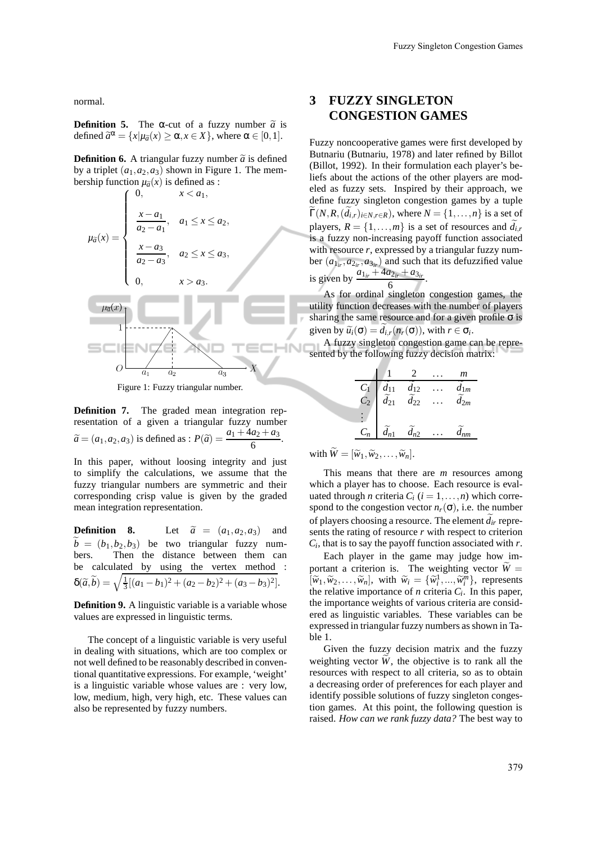normal.

**Definition 5.** The  $\alpha$ -cut of a fuzzy number  $\tilde{a}$  is defined  $\tilde{a}^{\alpha} = \{x | \mu_{\tilde{a}}(x) \ge \alpha, x \in X\}$ , where  $\alpha \in [0,1]$ .

**Definition 6.** A triangular fuzzy number  $\tilde{a}$  is defined by a triplet  $(a_1, a_2, a_3)$  shown in Figure 1. The membership function  $\mu_{\tilde{a}}(x)$  is defined as :



Figure 1: Fuzzy triangular number.

**Definition 7.** The graded mean integration representation of a given a triangular fuzzy number  $\widetilde{a} = (a_1, a_2, a_3)$  is defined as :  $P(\widetilde{a}) = \frac{a_1 + 4a_2 + a_3}{6}$ .

In this paper, without loosing integrity and just to simplify the calculations, we assume that the fuzzy triangular numbers are symmetric and their corresponding crisp value is given by the graded mean integration representation.

**Definition 8.** Let  $\tilde{a} = (a_1, a_2, a_3)$  and  $\widetilde{b} = (b_1, b_2, b_3)$  be two triangular fuzzy num-<br>bers. Then the distance between them can Then the distance between them can be calculated by using the vertex method :  $\delta(\tilde{a}, \tilde{b}) = \sqrt{\frac{1}{3}[(a_1 - b_1)^2 + (a_2 - b_2)^2 + (a_3 - b_3)^2]}$ .

**Definition 9.** A linguistic variable is a variable whose values are expressed in linguistic terms.

The concept of a linguistic variable is very useful in dealing with situations, which are too complex or not well defined to be reasonably described in conventional quantitative expressions. For example, 'weight' is a linguistic variable whose values are : very low, low, medium, high, very high, etc. These values can also be represented by fuzzy numbers.

# **3 FUZZY SINGLETON CONGESTION GAMES**

Fuzzy noncooperative games were first developed by Butnariu (Butnariu, 1978) and later refined by Billot (Billot, 1992). In their formulation each player's beliefs about the actions of the other players are modeled as fuzzy sets. Inspired by their approach, we define fuzzy singleton congestion games by a tuple  $\widetilde{\Gamma}(N,R,(\widetilde{d}_{i,r})_{i\in N,r\in R})$ , where  $N=\{1,\ldots,n\}$  is a set of players,  $R = \{1, \ldots, m\}$  is a set of resources and  $\tilde{d}_i$ , is a fuzzy non-increasing payoff function associated with resource *r*, expressed by a triangular fuzzy number  $(a_{1ir}, a_{2ir}, a_{3ir})$  and such that its defuzzified value is given by  $\frac{a_{1ir} + 4a_{2ir} + a_{3ir}}{6}$ .

As for ordinal singleton congestion games, the utility function decreases with the number of players sharing the same resource and for a given profile  $\sigma$  is given by  $\widetilde{u}_i(\sigma) = d_{i,r}(n_r(\sigma))$ , with  $r \in \sigma_i$ .

A fuzzy singleton congestion game can be represented by the following fuzzy decision matrix:

|                  |                      |                  | m                    |
|------------------|----------------------|------------------|----------------------|
| $C_1$            | $d_{11}$             | $d_{12}$         | $d_{1m}$             |
| $\overline{C_2}$ | $\widetilde{d}_{21}$ | $\tilde{d}_{22}$ | $\widetilde{d}_{2m}$ |
|                  |                      |                  |                      |
| $C_n$            | $d_{n1}$             | $d_{n2}$         |                      |

with  $\widetilde{W} = [\widetilde{w}_1, \widetilde{w}_2, \ldots, \widetilde{w}_n].$ 

This means that there are *m* resources among which a player has to choose. Each resource is evaluated through *n* criteria  $C_i$  ( $i = 1, \ldots, n$ ) which correspond to the congestion vector  $n_r(\sigma)$ , i.e. the number of players choosing a resource. The element  $\tilde{d}_{ir}$  represents the rating of resource *r* with respect to criterion  $C_i$ , that is to say the payoff function associated with  $r$ .

Each player in the game may judge how important a criterion is. The weighting vector  $\widetilde{W} =$  $[\widetilde{w}_1, \widetilde{w}_2, \ldots, \widetilde{w}_n]$ , with  $\widetilde{w}_i = {\widetilde{w}_i^1, \ldots, \widetilde{w}_i^m}$ , represents the relative importance of *n* criteria *C<sup>i</sup>* . In this paper, the importance weights of various criteria are considered as linguistic variables. These variables can be expressed in triangular fuzzy numbers as shown in Table 1.

Given the fuzzy decision matrix and the fuzzy weighting vector  $\tilde{W}$ , the objective is to rank all the resources with respect to all criteria, so as to obtain a decreasing order of preferences for each player and identify possible solutions of fuzzy singleton congestion games. At this point, the following question is raised. *How can we rank fuzzy data?* The best way to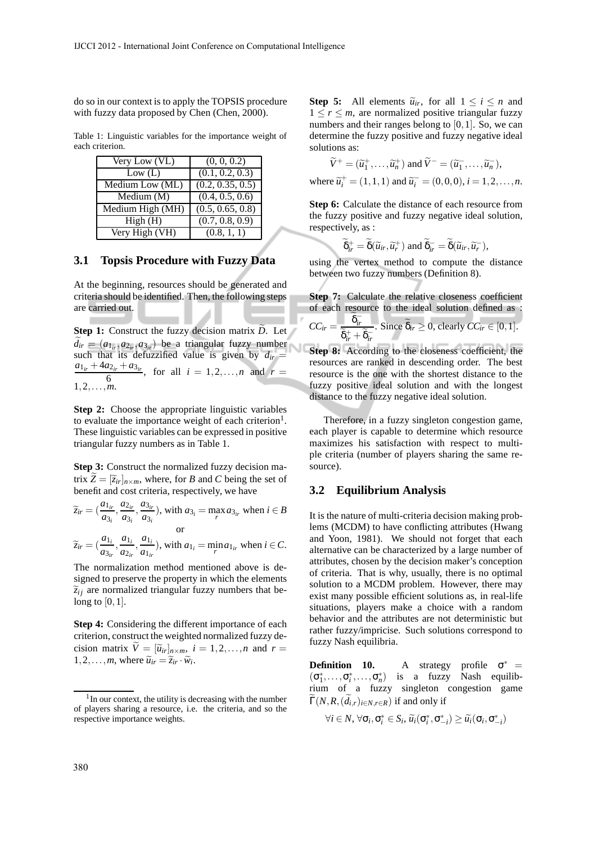do so in our context is to apply the TOPSIS procedure with fuzzy data proposed by Chen (Chen, 2000).

Table 1: Linguistic variables for the importance weight of each criterion.

| Very Low (VL)                   | (0, 0, 0.2)                   |
|---------------------------------|-------------------------------|
| Low (L)                         | (0.1, 0.2, 0.3)               |
| Medium Low (ML)                 | (0.2, 0.35, 0.5)              |
| $\overline{\text{M}}$ edium (M) | $\overline{(0.4, 0.5, 0.6)}$  |
| Medium High (MH)                | $\overline{(0.5, 0.65, 0.8)}$ |
| $\overline{\text{High}}$ (H)    | (0.7, 0.8, 0.9)               |
| Very High (VH)                  | (0.8, 1, 1)                   |

#### **3.1 Topsis Procedure with Fuzzy Data**

At the beginning, resources should be generated and criteria should be identified. Then, the following steps are carried out.

**Contract** 

**Step 1:** Construct the fuzzy decision matrix *D*. Let  $\widetilde{d}_{ir} = (a_{1ir}, a_{2ir}, a_{3ir})$  be a triangular fuzzy number such that its defuzzified value is given by  $d_{ir}$  =  $a_{1ir} + 4a_{2ir} + a_{3ir}$ , for all  $i = 1, 2, ..., n$  and  $r =$ 6  $1, 2, \ldots, m$ .

**Step 2:** Choose the appropriate linguistic variables to evaluate the importance weight of each criterion<sup>1</sup>. These linguistic variables can be expressed in positive triangular fuzzy numbers as in Table 1.

**Step 3:** Construct the normalized fuzzy decision matrix  $\widetilde{Z} = [\widetilde{z}_{ir}]_{n \times m}$ , where, for *B* and *C* being the set of benefit and cost criteria, respectively, we have

$$
\widetilde{z}_{ir} = \left(\frac{a_{1ir}}{a_{3i}}, \frac{a_{2ir}}{a_{3i}}, \frac{a_{3ir}}{a_{3i}}\right), \text{ with } a_{3i} = \max_{r} a_{3ir} \text{ when } i \in B
$$
\nor

$$
\widetilde{z}_{ir} = \left(\frac{a_{1i}}{a_{3ir}}, \frac{a_{1i}}{a_{2ir}}, \frac{a_{1i}}{a_{1ir}}\right)
$$
, with  $a_{1i} = \min_{r} a_{1ir}$  when  $i \in C$ .

The normalization method mentioned above is designed to preserve the property in which the elements  $\tilde{z}_{ij}$  are normalized triangular fuzzy numbers that belong to  $[0,1]$ .

**Step 4:** Considering the different importance of each criterion, construct the weighted normalized fuzzy decision matrix  $\tilde{V} = [\tilde{u}_{ir}]_{n \times m}$ ,  $i = 1, 2, ..., n$  and  $r =$  $1, 2, \ldots, m$ , where  $\widetilde{u}_{ir} = \widetilde{z}_{ir} \cdot \widetilde{w}_{i}$ .

**Step 5:** All elements  $\tilde{u}_{ir}$ , for all  $1 \le i \le n$  and  $1 \le r \le m$ , are normalized positive triangular fuzzy numbers and their ranges belong to  $[0,1]$ . So, we can determine the fuzzy positive and fuzzy negative ideal solutions as:

$$
\widetilde{V}^+ = (\widetilde{u}_1^+, \dots, \widetilde{u}_n^+) \text{ and } \widetilde{V}^- = (\widetilde{u}_1^-, \dots, \widetilde{u}_n^-,)
$$
\nwhere  $\widetilde{u}_i^+ = (1, 1, 1)$  and  $\widetilde{u}_i^- = (0, 0, 0), i = 1, 2, \dots, n$ .

**Step 6:** Calculate the distance of each resource from the fuzzy positive and fuzzy negative ideal solution, respectively, as :

$$
\widetilde{\delta}_{ir}^+ = \widetilde{\delta}(\widetilde{u}_{ir}, \widetilde{u}_r^+) \text{ and } \widetilde{\delta}_{ir}^- = \widetilde{\delta}(\widetilde{u}_{ir}, \widetilde{u}_r^-),
$$

using the vertex method to compute the distance between two fuzzy numbers (Definition 8).

**Step 7:** Calculate the relative closeness coefficient of each resource to the ideal solution defined as :<br> $\frac{a}{b}$ 

$$
CC_{ir} = \frac{\delta_{ir}^{-}}{\widetilde{\delta}_{ir}^{+} + \widetilde{\delta}_{ir}^{-}}.
$$
 Since  $\widetilde{\delta}_{ir} \ge 0$ , clearly  $CC_{ir} \in [0, 1]$ .

**Step 8:** According to the closeness coefficient, the resources are ranked in descending order. The best resource is the one with the shortest distance to the fuzzy positive ideal solution and with the longest distance to the fuzzy negative ideal solution.

Therefore, in a fuzzy singleton congestion game, each player is capable to determine which resource maximizes his satisfaction with respect to multiple criteria (number of players sharing the same resource).

#### **3.2 Equilibrium Analysis**

It is the nature of multi-criteria decision making problems (MCDM) to have conflicting attributes (Hwang and Yoon, 1981). We should not forget that each alternative can be characterized by a large number of attributes, chosen by the decision maker's conception of criteria. That is why, usually, there is no optimal solution to a MCDM problem. However, there may exist many possible efficient solutions as, in real-life situations, players make a choice with a random behavior and the attributes are not deterministic but rather fuzzy/impricise. Such solutions correspond to fuzzy Nash equilibria.

**Definition 10.** A strategy profile  $\sigma^*$  =  $(\sigma_1^*, \ldots, \sigma_i^*, \ldots, \sigma_n^*)$  is a fuzzy Nash equilibrium of a fuzzy singleton congestion game  $\widetilde{\Gamma}(N,R,(\widetilde{d}_{i,r})_{i\in N,r\in R})$  if and only if

$$
\forall i \in N, \forall \sigma_i, \sigma_i^* \in S_i, \widetilde{u_i}(\sigma_i^*, \sigma_{-i}^*) \geq \widetilde{u_i}(\sigma_i, \sigma_{-i}^*)
$$

<sup>&</sup>lt;sup>1</sup> In our context, the utility is decreasing with the number of players sharing a resource, i.e. the criteria, and so the respective importance weights.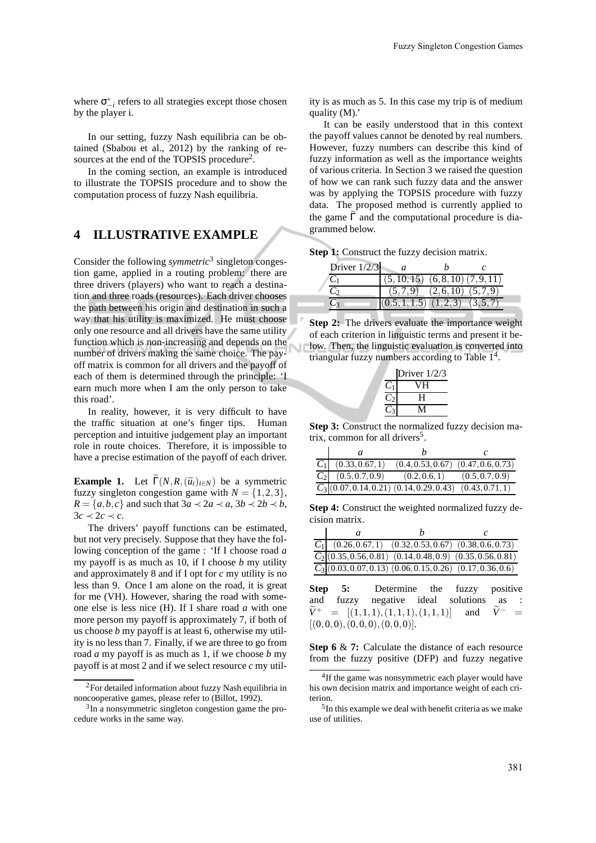where  $\sigma_{-i}^*$  refers to all strategies except those chosen by the player i.

In our setting, fuzzy Nash equilibria can be obtained (Sbabou et al., 2012) by the ranking of resources at the end of the TOPSIS procedure<sup>2</sup>.

In the coming section, an example is introduced to illustrate the TOPSIS procedure and to show the computation process of fuzzy Nash equilibria.

#### **4 ILLUSTRATIVE EXAMPLE**

Consider the following *symmetric*<sup>3</sup> singleton congestion game, applied in a routing problem: there are three drivers (players) who want to reach a destination and three roads (resources). Each driver chooses the path between his origin and destination in such a way that his utility is maximized. He must choose only one resource and all drivers have the same utility function which is non-increasing and depends on the number of drivers making the same choice. The payoff matrix is common for all drivers and the payoff of each of them is determined through the principle: 'I earn much more when I am the only person to take this road'.

In reality, however, it is very difficult to have the traffic situation at one's finger tips. Human perception and intuitive judgement play an important role in route choices. Therefore, it is impossible to have a precise estimation of the payoff of each driver.

**Example 1.** Let  $\widetilde{\Gamma}(N, R, (\widetilde{u}_i)_{i \in N})$  be a symmetric fuzzy singleton congestion game with  $N = \{1,2,3\},\$  $R = \{a, b, c\}$  and such that  $3a \prec 2a \prec a$ ,  $3b \prec 2b \prec b$ ,  $3c \prec 2c \prec c$ .

The drivers' payoff functions can be estimated, but not very precisely. Suppose that they have the following conception of the game : 'If I choose road *a* my payoff is as much as 10, if I choose *b* my utility and approximately 8 and if I opt for *c* my utility is no less than 9. Once I am alone on the road, it is great for me (VH). However, sharing the road with someone else is less nice (H). If I share road *a* with one more person my payoff is approximately 7, if both of us choose *b* my payoff is at least 6, otherwise my utility is no less than 7. Finally, if we are three to go from road *a* my payoff is as much as 1, if we choose *b* my payoff is at most 2 and if we select resource *c* my utility is as much as 5. In this case my trip is of medium quality (M).'

It can be easily understood that in this context the payoff values cannot be denoted by real numbers. However, fuzzy numbers can describe this kind of fuzzy information as well as the importance weights of various criteria. In Section 3 we raised the question of how we can rank such fuzzy data and the answer was by applying the TOPSIS procedure with fuzzy data. The proposed method is currently applied to the game  $\tilde{\Gamma}$  and the computational procedure is diagrammed below.

**Step 1:** Construct the fuzzy decision matrix.

| Driver $1/2/3$ |                                         |                      |         |  |
|----------------|-----------------------------------------|----------------------|---------|--|
|                | $(5, 10, 15)$ $(6, 8, 10)$ $(7, 9, 11)$ |                      |         |  |
|                |                                         | $(5,7,9)$ $(2,6,10)$ | (5.7.9) |  |
|                | $(0.5, 1, 1.5)$ $(1, 2, 3)$             |                      |         |  |

**Step 2:** The drivers evaluate the importance weight of each criterion in linguistic terms and present it below. Then, the linguistic evaluation is converted into triangular fuzzy numbers according to Table 1<sup>4</sup>.

| Driver 1/2/3 |
|--------------|
| JН           |
| H            |
|              |

**Step 3:** Construct the normalized fuzzy decision matrix, common for all drivers<sup>5</sup>.

| $C_1$ (0.33, 0.67, 1)                                               | $(0.4, 0.53, 0.67)$ $(0.47, 0.6, 0.73)$ |                                   |
|---------------------------------------------------------------------|-----------------------------------------|-----------------------------------|
| $C_2$ (0.5, 0.7, 0.9)                                               |                                         | $(0.2, 0.6, 1)$ $(0.5, 0.7, 0.9)$ |
| $\overline{C_3(0.07, 0.14, 0.21)(0.14, 0.29, 0.43)(0.43, 0.71, 1)}$ |                                         |                                   |

**Step 4:** Construct the weighted normalized fuzzy decision matrix.

| $\boldsymbol{a}$ |                                                                          |  |
|------------------|--------------------------------------------------------------------------|--|
|                  | $C_1$ (0.26, 0.67, 1) (0.32, 0.53, 0.67) (0.38, 0.6, 0.73)               |  |
|                  | $\overline{C_2[(0.35, 0.56, 0.81)}$ (0.14, 0.48, 0.9) (0.35, 0.56, 0.81) |  |
|                  | $\overline{C_3(0.03, 0.07, 0.13)}$ (0.06, 0.15, 0.26) (0.17, 0.36, 0.6)  |  |

**Step 5:** Determine the fuzzy positive and fuzzy negative ideal solutions as :  $\widetilde{V}^+ = [(1,1,1),(1,1,1),(1,1,1)]$  and  $\widetilde{V}^- =$  $[(0,0,0), (0,0,0), (0,0,0)].$ 

**Step 6** & **7:** Calculate the distance of each resource from the fuzzy positive (DFP) and fuzzy negative

<sup>2</sup>For detailed information about fuzzy Nash equilibria in noncooperative games, please refer to (Billot, 1992).

<sup>&</sup>lt;sup>3</sup>In a nonsymmetric singleton congestion game the procedure works in the same way.

<sup>&</sup>lt;sup>4</sup>If the game was nonsymmetric each player would have his own decision matrix and importance weight of each criterion.

<sup>&</sup>lt;sup>5</sup>In this example we deal with benefit criteria as we make use of utilities.